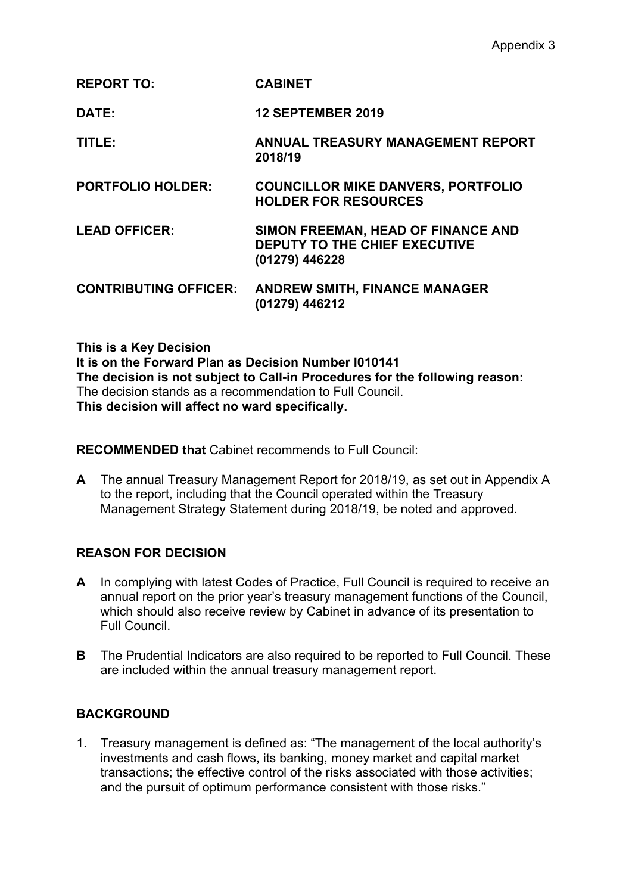| <b>CABINET</b> |
|----------------|
|                |

**DATE: 12 SEPTEMBER 2019**

**TITLE: ANNUAL TREASURY MANAGEMENT REPORT 2018/19**

**PORTFOLIO HOLDER: COUNCILLOR MIKE DANVERS, PORTFOLIO HOLDER FOR RESOURCES**

- **LEAD OFFICER: SIMON FREEMAN, HEAD OF FINANCE AND DEPUTY TO THE CHIEF EXECUTIVE (01279) 446228**
- **CONTRIBUTING OFFICER: ANDREW SMITH, FINANCE MANAGER (01279) 446212**

**This is a Key Decision**

**It is on the Forward Plan as Decision Number I010141 The decision is not subject to Call-in Procedures for the following reason:** The decision stands as a recommendation to Full Council. **This decision will affect no ward specifically.**

**RECOMMENDED that** Cabinet recommends to Full Council:

**A** The annual Treasury Management Report for 2018/19, as set out in Appendix A to the report, including that the Council operated within the Treasury Management Strategy Statement during 2018/19, be noted and approved.

# **REASON FOR DECISION**

- **A** In complying with latest Codes of Practice, Full Council is required to receive an annual report on the prior year's treasury management functions of the Council, which should also receive review by Cabinet in advance of its presentation to Full Council.
- **B** The Prudential Indicators are also required to be reported to Full Council. These are included within the annual treasury management report.

## **BACKGROUND**

1. Treasury management is defined as: "The management of the local authority's investments and cash flows, its banking, money market and capital market transactions; the effective control of the risks associated with those activities; and the pursuit of optimum performance consistent with those risks."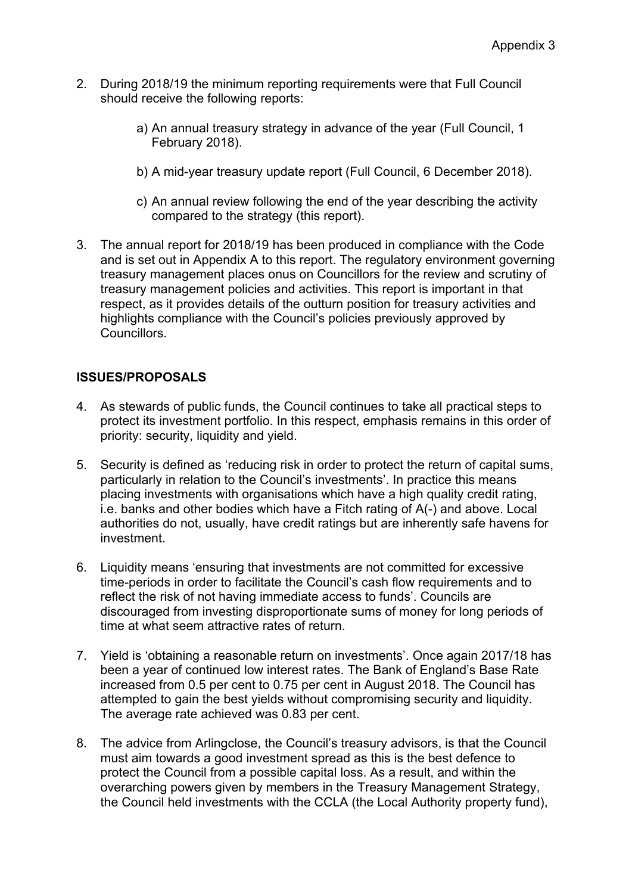- 2. During 2018/19 the minimum reporting requirements were that Full Council should receive the following reports:
	- a) An annual treasury strategy in advance of the year (Full Council, 1 February 2018).
	- b) A mid-year treasury update report (Full Council, 6 December 2018).
	- c) An annual review following the end of the year describing the activity compared to the strategy (this report).
- 3. The annual report for 2018/19 has been produced in compliance with the Code and is set out in Appendix A to this report. The regulatory environment governing treasury management places onus on Councillors for the review and scrutiny of treasury management policies and activities. This report is important in that respect, as it provides details of the outturn position for treasury activities and highlights compliance with the Council's policies previously approved by Councillors.

# **ISSUES/PROPOSALS**

- 4. As stewards of public funds, the Council continues to take all practical steps to protect its investment portfolio. In this respect, emphasis remains in this order of priority: security, liquidity and yield.
- 5. Security is defined as 'reducing risk in order to protect the return of capital sums, particularly in relation to the Council's investments'. In practice this means placing investments with organisations which have a high quality credit rating, i.e. banks and other bodies which have a Fitch rating of A(-) and above. Local authorities do not, usually, have credit ratings but are inherently safe havens for investment.
- 6. Liquidity means 'ensuring that investments are not committed for excessive time-periods in order to facilitate the Council's cash flow requirements and to reflect the risk of not having immediate access to funds'. Councils are discouraged from investing disproportionate sums of money for long periods of time at what seem attractive rates of return.
- 7. Yield is 'obtaining a reasonable return on investments'. Once again 2017/18 has been a year of continued low interest rates. The Bank of England's Base Rate increased from 0.5 per cent to 0.75 per cent in August 2018. The Council has attempted to gain the best yields without compromising security and liquidity. The average rate achieved was 0.83 per cent.
- 8. The advice from Arlingclose, the Council's treasury advisors, is that the Council must aim towards a good investment spread as this is the best defence to protect the Council from a possible capital loss. As a result, and within the overarching powers given by members in the Treasury Management Strategy, the Council held investments with the CCLA (the Local Authority property fund),